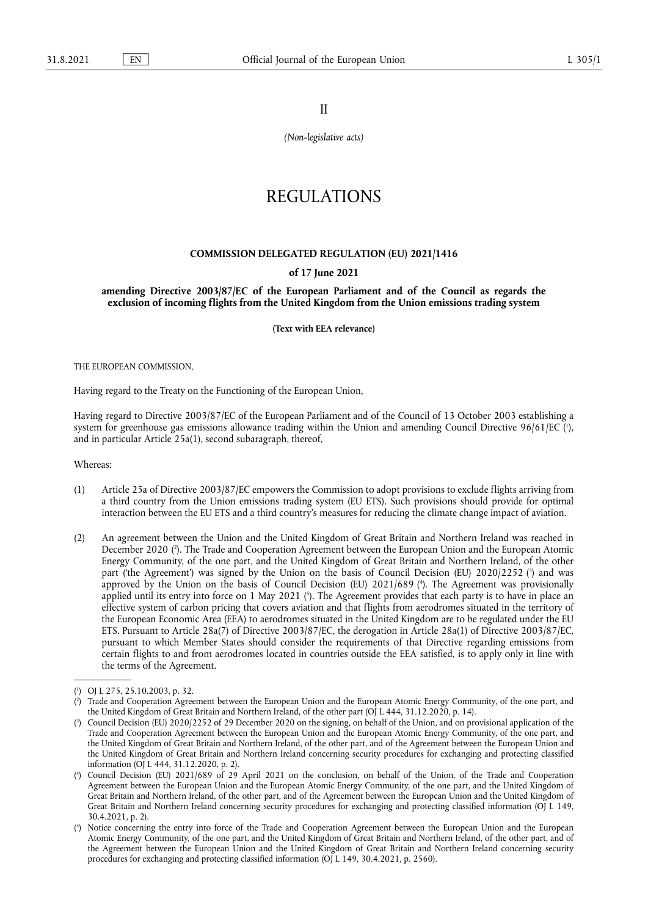II

*(Non-legislative acts)*

## REGULATIONS

## **COMMISSION DELEGATED REGULATION (EU) 2021/1416**

## **of 17 June 2021**

**amending Directive 2003/87/EC of the European Parliament and of the Council as regards the exclusion of incoming flights from the United Kingdom from the Union emissions trading system** 

**(Text with EEA relevance)** 

THE EUROPEAN COMMISSION,

Having regard to the Treaty on the Functioning of the European Union,

<span id="page-0-5"></span>Having regard to Directive 2003/87/EC of the European Parliament and of the Council of 13 October 2003 establishing a system for greenhouse gas emissions allowance trading within the Union and amending Council Directive 96/61/EC [\(](#page-0-0) 1 ), and in particular Article 25a(1), second subaragraph, thereof,

Whereas:

- (1) Article 25a of Directive 2003/87/EC empowers the Commission to adopt provisions to exclude flights arriving from a third country from the Union emissions trading system (EU ETS). Such provisions should provide for optimal interaction between the EU ETS and a third country's measures for reducing the climate change impact of aviation.
- <span id="page-0-9"></span><span id="page-0-8"></span><span id="page-0-7"></span><span id="page-0-6"></span>(2) An agreement between the Union and the United Kingdom of Great Britain and Northern Ireland was reached in December 2020 [\(](#page-0-1) 2 ). The Trade and Cooperation Agreement between the European Union and the European Atomic Energy Community, of the one part, and the United Kingdom of Great Britain and Northern Ireland, of the other part ('the Agreement') was signed by the Union on the basis of Council Decision (EU) 2020/2252 [\(](#page-0-2) 3 ) and was approved by the Union on the basis of Council Decision (EU) 2021/689 ( 4 [\).](#page-0-3) The Agreement was provisionally applied until its entry into force on 1 May 2021 ( 5 [\).](#page-0-4) The Agreement provides that each party is to have in place an effective system of carbon pricing that covers aviation and that flights from aerodromes situated in the territory of the European Economic Area (EEA) to aerodromes situated in the United Kingdom are to be regulated under the EU ETS. Pursuant to Article 28a(7) of Directive 2003/87/EC, the derogation in Article 28a(1) of Directive 2003/87/EC, pursuant to which Member States should consider the requirements of that Directive regarding emissions from certain flights to and from aerodromes located in countries outside the EEA satisfied, is to apply only in line with the terms of the Agreement.

<span id="page-0-0"></span>[<sup>\(</sup>](#page-0-5) 1 ) OJ L 275, 25.10.2003, p. 32.

<span id="page-0-1"></span>[<sup>\(</sup>](#page-0-6) 2 ) Trade and Cooperation Agreement between the European Union and the European Atomic Energy Community, of the one part, and the United Kingdom of Great Britain and Northern Ireland, of the other part (OJ L 444, 31.12.2020, p. 14).

<span id="page-0-2"></span>[<sup>\(</sup>](#page-0-7) 3 ) Council Decision (EU) 2020/2252 of 29 December 2020 on the signing, on behalf of the Union, and on provisional application of the Trade and Cooperation Agreement between the European Union and the European Atomic Energy Community, of the one part, and the United Kingdom of Great Britain and Northern Ireland, of the other part, and of the Agreement between the European Union and the United Kingdom of Great Britain and Northern Ireland concerning security procedures for exchanging and protecting classified information (OJ L 444, 31.12.2020, p. 2).

<span id="page-0-3"></span><sup>(</sup> 4 [\)](#page-0-8) Council Decision (EU) 2021/689 of 29 April 2021 on the conclusion, on behalf of the Union, of the Trade and Cooperation Agreement between the European Union and the European Atomic Energy Community, of the one part, and the United Kingdom of Great Britain and Northern Ireland, of the other part, and of the Agreement between the European Union and the United Kingdom of Great Britain and Northern Ireland concerning security procedures for exchanging and protecting classified information (OJ L 149, 30.4.2021, p. 2).

<span id="page-0-4"></span>[<sup>\(</sup>](#page-0-9) 5 ) Notice concerning the entry into force of the Trade and Cooperation Agreement between the European Union and the European Atomic Energy Community, of the one part, and the United Kingdom of Great Britain and Northern Ireland, of the other part, and of the Agreement between the European Union and the United Kingdom of Great Britain and Northern Ireland concerning security procedures for exchanging and protecting classified information (OJ L 149, 30.4.2021, p. 2560).